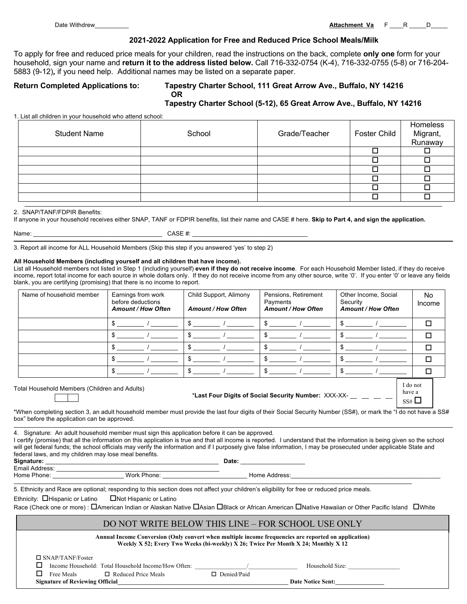#### **2021-2022 Application for Free and Reduced Price School Meals/Milk**

To apply for free and reduced price meals for your children, read the instructions on the back, complete **only one** form for your household, sign your name and **return it to the address listed below.** Call 716-332-0754 (K-4), 716-332-0755 (5-8) or 716-204- 5883 (9-12)*,* if you need help. Additional names may be listed on a separate paper.

## **Return Completed Applications to: Tapestry Charter School, 111 Great Arrow Ave., Buffalo, NY 14216 OR**

# **Tapestry Charter School (5-12), 65 Great Arrow Ave., Buffalo, NY 14216**

1. List all children in your household who attend school:

| Migrant,<br>Runaway |
|---------------------|
|                     |
|                     |
|                     |
|                     |
|                     |
|                     |

#### 2. SNAP/TANF/FDPIR Benefits:

If anyone in your household receives either SNAP, TANF or FDPIR benefits, list their name and CASE # here. **Skip to Part 4, and sign the application.**

| ٠ |  |
|---|--|

 $CASE$  #:

3. Report all income for ALL Household Members (Skip this step if you answered 'yes' to step 2)

#### **All Household Members (including yourself and all children that have income).**

List all Household members not listed in Step 1 (including yourself) **even if they do not receive income**. For each Household Member listed, if they do receive income, report total income for each source in whole dollars only. If they do not receive income from any other source, write '0'. If you enter '0' or leave any fields blank, you are certifying (promising) that there is no income to report.

| Name of household member                                                                              | Earnings from work<br>before deductions<br><b>Amount / How Often</b> | Child Support, Alimony<br><b>Amount / How Often</b> | Pensions, Retirement<br>Payments<br><b>Amount / How Often</b> | Other Income, Social<br>Security<br><b>Amount / How Often</b> | No.<br>Income |
|-------------------------------------------------------------------------------------------------------|----------------------------------------------------------------------|-----------------------------------------------------|---------------------------------------------------------------|---------------------------------------------------------------|---------------|
|                                                                                                       |                                                                      | S                                                   |                                                               |                                                               | п             |
|                                                                                                       |                                                                      | \$                                                  |                                                               |                                                               | П             |
|                                                                                                       |                                                                      | \$                                                  |                                                               |                                                               | п             |
|                                                                                                       |                                                                      | \$                                                  |                                                               |                                                               | п             |
|                                                                                                       |                                                                      | \$                                                  |                                                               |                                                               | п             |
| Total Household Members (Children and Adults)<br>*Last Four Digits of Social Security Number: XXX-XX- |                                                                      |                                                     |                                                               |                                                               |               |

\*When completing section 3, an adult household member must provide the last four digits of their Social Security Number (SS#), or mark the "I do not have a SS# box" before the application can be approved.

4. Signature: An adult household member must sign this application before it can be approved.

I certify (promise) that all the information on this application is true and that all income is reported. I understand that the information is being given so the school will get federal funds; the school officials may verify the information and if I purposely give false information, I may be prosecuted under applicable State and federal laws, and my children may lose meal benefits. **Signature:** \_\_\_\_\_\_\_\_\_\_\_\_\_\_\_\_\_\_\_\_\_\_\_\_\_\_\_\_\_\_\_\_\_\_\_\_\_\_\_\_\_\_\_\_\_\_\_\_\_\_\_ **Date:** \_\_\_\_\_\_\_\_\_\_\_\_\_\_\_\_\_\_\_

Email Address: \_\_\_\_\_\_\_\_\_\_\_\_\_\_\_\_\_\_\_\_\_\_\_\_\_\_\_\_\_\_\_\_\_\_\_\_\_\_\_\_\_\_\_\_\_\_\_\_ Home Phone: \_\_\_\_\_\_\_\_\_\_\_\_\_\_\_\_\_\_\_\_\_ Work Phone: \_\_\_\_\_\_\_\_\_\_\_\_\_\_\_\_\_\_\_\_\_\_\_\_\_ Home Address:\_\_\_\_\_\_\_\_\_\_\_\_\_\_\_\_\_\_\_\_\_\_\_\_\_\_\_\_\_\_\_\_\_\_\_\_\_\_\_\_\_\_\_\_

5. Ethnicity and Race are optional; responding to this section does not affect your children's eligibility for free or reduced price meals.

Ethnicity: **O**Hispanic or Latino **CONOT** Hispanic or Latino

Race (Check one or more) :  $\Box$ American Indian or Alaskan Native  $\Box$ Asian  $\Box$ Black or African American  $\Box$ Native Hawaiian or Other Pacific Island  $\Box$ White

## DO NOT WRITE BELOW THIS LINE – FOR SCHOOL USE ONLY

**Annual Income Conversion (Only convert when multiple income frequencies are reported on application) Weekly X 52; Every Two Weeks (bi-weekly) X 26; Twice Per Month X 24; Monthly X 12**

 $\square$  SNAP/TANF/Foster

|            | Income Household: Total Household Income/How Often: |                    |
|------------|-----------------------------------------------------|--------------------|
| Free Meals | $\Box$ Reduced Price Meals                          | $\Box$ Denied/Paid |

Household Size:

**Signature of Reviewing Official**  and the sense of Reviewing Official and the Sent:  $\overline{a}$  **Date Notice Sent:**